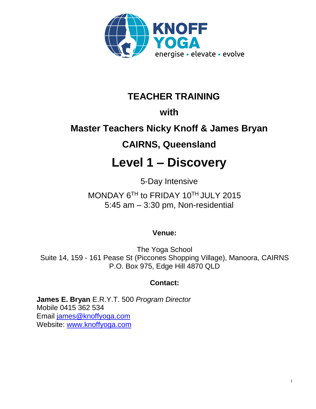

## **TEACHER TRAINING**

### **with**

# **Master Teachers Nicky Knoff & James Bryan**

### **CAIRNS, Queensland**

# **Level 1 – Discovery**

5-Day Intensive

MONDAY 6<sup>TH</sup> to FRIDAY 10<sup>TH</sup> JULY 2015 5:45 am – 3:30 pm, Non-residential

### **Venue:**

The Yoga School Suite 14, 159 - 161 Pease St (Piccones Shopping Village), Manoora, CAIRNS P.O. Box 975, Edge Hill 4870 QLD

### **Contact:**

**James E. Bryan** E.R.Y.T. 500 *Program Director*  Mobile 0415 362 534 Email [james@knoffyoga.com](mailto:james@knoffyoga.com)  Website: [www.knoffyoga.com](http://www.knoffyoga.com/)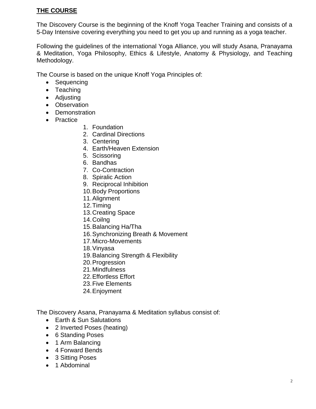#### **THE COURSE**

The Discovery Course is the beginning of the Knoff Yoga Teacher Training and consists of a 5-Day Intensive covering everything you need to get you up and running as a yoga teacher.

Following the guidelines of the international Yoga Alliance, you will study Asana, Pranayama & Meditation, Yoga Philosophy, Ethics & Lifestyle, Anatomy & Physiology, and Teaching Methodology.

The Course is based on the unique Knoff Yoga Principles of:

- Sequencing
- Teaching
- Adjusting
- Observation
- Demonstration
- Practice
- 1. Foundation
- 2. Cardinal Directions
- 3. Centering
- 4. Earth/Heaven Extension
- 5. Scissoring
- 6. Bandhas
- 7. Co-Contraction
- 8. Spiralic Action
- 9. Reciprocal Inhibition
- 10.Body Proportions
- 11.Alignment
- 12.Timing
- 13.Creating Space
- 14.Coilng
- 15.Balancing Ha/Tha
- 16.Synchronizing Breath & Movement
- 17.Micro-Movements
- 18.Vinyasa
- 19.Balancing Strength & Flexibility
- 20.Progression
- 21.Mindfulness
- 22.Effortless Effort
- 23.Five Elements
- 24.Enjoyment

The Discovery Asana, Pranayama & Meditation syllabus consist of:

- Earth & Sun Salutations
- 2 Inverted Poses (heating)
- 6 Standing Poses
- 1 Arm Balancing
- 4 Forward Bends
- 3 Sitting Poses
- 1 Abdominal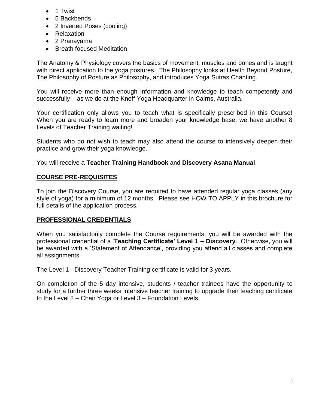- 1 Twist
- 5 Backbends
- 2 Inverted Poses (cooling)
- Relaxation
- 2 Pranayama
- Breath focused Meditation

The Anatomy & Physiology covers the basics of movement, muscles and bones and is taught with direct application to the yoga postures. The Philosophy looks at Health Beyond Posture, The Philosophy of Posture as Philosophy, and introduces Yoga Sutras Chanting.

You will receive more than enough information and knowledge to teach competently and successfully – as we do at the Knoff Yoga Headquarter in Cairns, Australia.

Your certification only allows you to teach what is specifically prescribed in this Course! When you are ready to learn more and broaden your knowledge base, we have another 8 Levels of Teacher Training waiting!

Students who do not wish to teach may also attend the course to intensively deepen their practice and grow their yoga knowledge.

You will receive a **Teacher Training Handbook** and **Discovery Asana Manual**.

#### **COURSE PRE-REQUISITES**

To join the Discovery Course, you are required to have attended regular yoga classes (any style of yoga) for a minimum of 12 months. Please see HOW TO APPLY in this brochure for full details of the application process.

#### **PROFESSIONAL CREDENTIALS**

When you satisfactorily complete the Course requirements, you will be awarded with the professional credential of a '**Teaching Certificate' Level 1 – Discovery**. Otherwise, you will be awarded with a 'Statement of Attendance', providing you attend all classes and complete all assignments.

The Level 1 - Discovery Teacher Training certificate is valid for 3 years.

On completion of the 5 day intensive, students / teacher trainees have the opportunity to study for a further three weeks intensive teacher training to upgrade their teaching certificate to the Level 2 – Chair Yoga or Level 3 – Foundation Levels.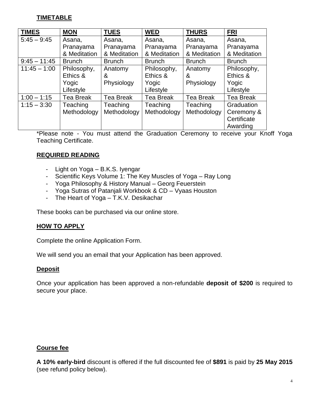#### **TIMETABLE**

| <b>TIMES</b>   | <b>MON</b>    | <b>TUES</b>      | <b>WED</b>       | <b>THURS</b>     | <b>FRI</b>    |
|----------------|---------------|------------------|------------------|------------------|---------------|
| $5:45 - 9:45$  | Asana,        | Asana,           | Asana,           | Asana,           | Asana,        |
|                | Pranayama     | Pranayama        | Pranayama        | Pranayama        | Pranayama     |
|                | & Meditation  | & Meditation     | & Meditation     | & Meditation     | & Meditation  |
| $9:45 - 11:45$ | <b>Brunch</b> | <b>Brunch</b>    | <b>Brunch</b>    | <b>Brunch</b>    | <b>Brunch</b> |
| $11:45 - 1:00$ | Philosophy,   | Anatomy          | Philosophy,      | Anatomy          | Philosophy,   |
|                | Ethics &      | &                | Ethics &         | &                | Ethics &      |
|                | Yogic         | Physiology       | Yogic            | Physiology       | Yogic         |
|                | Lifestyle     |                  | Lifestyle        |                  | Lifestyle     |
| $1:00 - 1:15$  | Tea Break     | <b>Tea Break</b> | <b>Tea Break</b> | <b>Tea Break</b> | Tea Break     |
| $1:15 - 3:30$  | Teaching      | Teaching         | Teaching         | Teaching         | Graduation    |
|                | Methodology   | Methodology      | Methodology      | Methodology      | Ceremony &    |
|                |               |                  |                  |                  | Certificate   |
|                |               |                  |                  |                  | Awarding      |

\*Please note - You must attend the Graduation Ceremony to receive your Knoff Yoga Teaching Certificate.

#### **REQUIRED READING**

- Light on Yoga B.K.S. Iyengar
- Scientific Keys Volume 1: The Key Muscles of Yoga Ray Long
- Yoga Philosophy & History Manual Georg Feuerstein
- Yoga Sutras of Patanjali Workbook & CD Vyaas Houston
- The Heart of Yoga T.K.V. Desikachar

These books can be purchased via our online store.

#### **HOW TO APPLY**

Complete the online Application Form.

We will send you an email that your Application has been approved.

#### **Deposit**

Once your application has been approved a non-refundable **deposit of \$200** is required to secure your place.

#### **Course fee**

**A 10% early-bird** discount is offered if the full discounted fee of **\$891** is paid by **25 May 2015** (see refund policy below).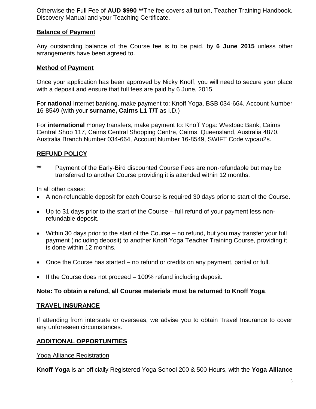Otherwise the Full Fee of **AUD \$990 \*\***The fee covers all tuition, Teacher Training Handbook, Discovery Manual and your Teaching Certificate.

#### **Balance of Payment**

Any outstanding balance of the Course fee is to be paid, by **6 June 2015** unless other arrangements have been agreed to.

#### **Method of Payment**

Once your application has been approved by Nicky Knoff, you will need to secure your place with a deposit and ensure that full fees are paid by 6 June, 2015.

For **national** Internet banking, make payment to: Knoff Yoga, BSB 034-664, Account Number 16-8549 (with your **surname, Cairns L1 T/T** as I.D.)

For **international** money transfers, make payment to: Knoff Yoga: Westpac Bank, Cairns Central Shop 117, Cairns Central Shopping Centre, Cairns, Queensland, Australia 4870. Australia Branch Number 034-664, Account Number 16-8549, SWIFT Code wpcau2s.

#### **REFUND POLICY**

\*\* Payment of the Early-Bird discounted Course Fees are non-refundable but may be transferred to another Course providing it is attended within 12 months.

In all other cases:

- A non-refundable deposit for each Course is required 30 days prior to start of the Course.
- Up to 31 days prior to the start of the Course full refund of your payment less nonrefundable deposit.
- Within 30 days prior to the start of the Course no refund, but you may transfer your full payment (including deposit) to another Knoff Yoga Teacher Training Course, providing it is done within 12 months.
- Once the Course has started no refund or credits on any payment, partial or full.
- If the Course does not proceed 100% refund including deposit.

#### **Note: To obtain a refund, all Course materials must be returned to Knoff Yoga**.

#### **TRAVEL INSURANCE**

If attending from interstate or overseas, we advise you to obtain Travel Insurance to cover any unforeseen circumstances.

#### **ADDITIONAL OPPORTUNITIES**

#### Yoga Alliance Registration

**Knoff Yoga** is an officially Registered Yoga School 200 & 500 Hours, with the **Yoga Alliance**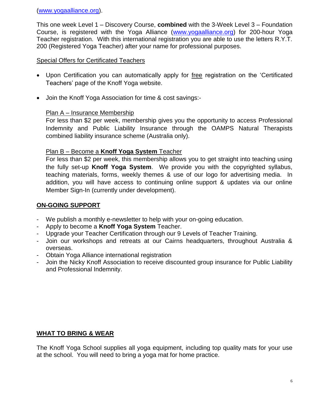[\(www.yogaalliance.org\)](http://www.yogaalliance.org/).

This one week Level 1 – Discovery Course, **combined** with the 3-Week Level 3 – Foundation Course, is registered with the Yoga Alliance [\(www.yogaalliance.org\)](http://www.yogaalliance.org/) for 200-hour Yoga Teacher registration. With this international registration you are able to use the letters R.Y.T. 200 (Registered Yoga Teacher) after your name for professional purposes.

#### Special Offers for Certificated Teachers

- Upon Certification you can automatically apply for free registration on the 'Certificated Teachers' page of the Knoff Yoga website.
- Join the Knoff Yoga Association for time & cost savings:-

#### Plan A – Insurance Membership

For less than \$2 per week, membership gives you the opportunity to access Professional Indemnity and Public Liability Insurance through the OAMPS Natural Therapists combined liability insurance scheme (Australia only).

#### Plan B – Become a **Knoff Yoga System** Teacher

For less than \$2 per week, this membership allows you to get straight into teaching using the fully set-up **Knoff Yoga System**. We provide you with the copyrighted syllabus, teaching materials, forms, weekly themes & use of our logo for advertising media. In addition, you will have access to continuing online support & updates via our online Member Sign-In (currently under development).

#### **ON-GOING SUPPORT**

- We publish a monthly e-newsletter to help with your on-going education.
- Apply to become a **Knoff Yoga System** Teacher.
- Upgrade your Teacher Certification through our 9 Levels of Teacher Training.
- Join our workshops and retreats at our Cairns headquarters, throughout Australia & overseas.
- Obtain Yoga Alliance international registration
- Join the Nicky Knoff Association to receive discounted group insurance for Public Liability and Professional Indemnity.

#### **WHAT TO BRING & WEAR**

The Knoff Yoga School supplies all yoga equipment, including top quality mats for your use at the school. You will need to bring a yoga mat for home practice.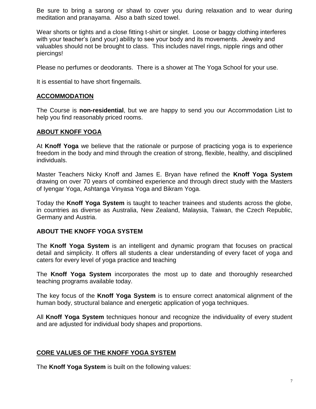Be sure to bring a sarong or shawl to cover you during relaxation and to wear during meditation and pranayama. Also a bath sized towel.

Wear shorts or tights and a close fitting t-shirt or singlet. Loose or baggy clothing interferes with your teacher's (and your) ability to see your body and its movements. Jewelry and valuables should not be brought to class. This includes navel rings, nipple rings and other piercings!

Please no perfumes or deodorants. There is a shower at The Yoga School for your use.

It is essential to have short fingernails.

#### **ACCOMMODATION**

The Course is **non-residential**, but we are happy to send you our Accommodation List to help you find reasonably priced rooms.

#### **ABOUT KNOFF YOGA**

At **Knoff Yoga** we believe that the rationale or purpose of practicing yoga is to experience freedom in the body and mind through the creation of strong, flexible, healthy, and disciplined individuals.

Master Teachers Nicky Knoff and James E. Bryan have refined the **Knoff Yoga System** drawing on over 70 years of combined experience and through direct study with the Masters of Iyengar Yoga, Ashtanga Vinyasa Yoga and Bikram Yoga.

Today the **Knoff Yoga System** is taught to teacher trainees and students across the globe, in countries as diverse as Australia, New Zealand, Malaysia, Taiwan, the Czech Republic, Germany and Austria.

#### **ABOUT THE KNOFF YOGA SYSTEM**

The **Knoff Yoga System** is an intelligent and dynamic program that focuses on practical detail and simplicity. It offers all students a clear understanding of every facet of yoga and caters for every level of yoga practice and teaching

The **Knoff Yoga System** incorporates the most up to date and thoroughly researched teaching programs available today.

The key focus of the **Knoff Yoga System** is to ensure correct anatomical alignment of the human body, structural balance and energetic application of yoga techniques.

All **Knoff Yoga System** techniques honour and recognize the individuality of every student and are adjusted for individual body shapes and proportions.

#### **CORE VALUES OF THE KNOFF YOGA SYSTEM**

The **Knoff Yoga System** is built on the following values: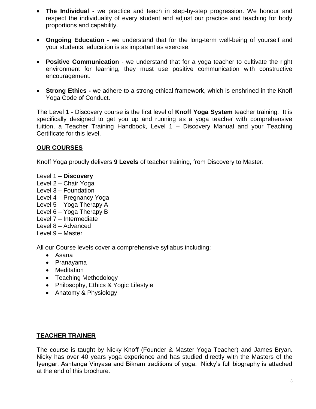- **The Individual** we practice and teach in step-by-step progression. We honour and respect the individuality of every student and adjust our practice and teaching for body proportions and capability.
- **Ongoing Education** we understand that for the long-term well-being of yourself and your students, education is as important as exercise.
- **Positive Communication** we understand that for a yoga teacher to cultivate the right environment for learning, they must use positive communication with constructive encouragement.
- **Strong Ethics -** we adhere to a strong ethical framework, which is enshrined in the Knoff Yoga Code of Conduct.

The Level 1 - Discovery course is the first level of **Knoff Yoga System** teacher training. It is specifically designed to get you up and running as a yoga teacher with comprehensive tuition, a Teacher Training Handbook, Level 1 – Discovery Manual and your Teaching Certificate for this level.

#### **OUR COURSES**

Knoff Yoga proudly delivers **9 Levels** of teacher training, from Discovery to Master.

- Level 1 **Discovery**
- Level 2 Chair Yoga
- Level 3 Foundation
- Level 4 Pregnancy Yoga
- Level 5 Yoga Therapy A
- Level 6 Yoga Therapy B
- Level 7 Intermediate
- Level 8 Advanced
- Level 9 Master

All our Course levels cover a comprehensive syllabus including:

- Asana
- Pranayama
- Meditation
- Teaching Methodology
- Philosophy, Ethics & Yogic Lifestyle
- Anatomy & Physiology

#### **TEACHER TRAINER**

The course is taught by Nicky Knoff (Founder & Master Yoga Teacher) and James Bryan. Nicky has over 40 years yoga experience and has studied directly with the Masters of the Iyengar, Ashtanga Vinyasa and Bikram traditions of yoga. Nicky's full biography is attached at the end of this brochure.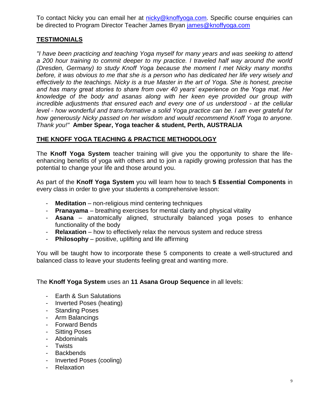To contact Nicky you can email her at [nicky@knoffyoga.com](mailto:nicky@knoffyoga.com). Specific course enquiries can be directed to Program Director Teacher James Bryan [james@knoffyoga.com](mailto:james@knoffyoga.com)

#### **TESTIMONIALS**

*"I have been practicing and teaching Yoga myself for many years and was seeking to attend*  a 200 hour training to commit deeper to my practice. I traveled half way around the world *(Dresden, Germany) to study Knoff Yoga because the moment I met Nicky many months before, it was obvious to me that she is a person who has dedicated her life very wisely and effectively to the teachings. Nicky is a true Master in the art of Yoga. She is honest, precise and has many great stories to share from over 40 years' experience on the Yoga mat. Her knowledge of the body and asanas along with her keen eye provided our group with incredible adjustments that ensured each and every one of us understood - at the cellular level - how wonderful and trans-formative a solid Yoga practice can be. I am ever grateful for how generously Nicky passed on her wisdom and would recommend Knoff Yoga to anyone. Thank you!"* **Amber Spear, Yoga teacher & student, Perth, AUSTRALIA**

#### **THE KNOFF YOGA TEACHING & PRACTICE METHODOLOGY**

The **Knoff Yoga System** teacher training will give you the opportunity to share the lifeenhancing benefits of yoga with others and to join a rapidly growing profession that has the potential to change your life and those around you.

As part of the **Knoff Yoga System** you will learn how to teach **5 Essential Components** in every class in order to give your students a comprehensive lesson:

- **Meditation** non-religious mind centering techniques
- **Pranayama** breathing exercises for mental clarity and physical vitality
- **Asana** anatomically aligned, structurally balanced yoga poses to enhance functionality of the body
- **Relaxation** how to effectively relax the nervous system and reduce stress
- **Philosophy** positive, uplifting and life affirming

You will be taught how to incorporate these 5 components to create a well-structured and balanced class to leave your students feeling great and wanting more.

#### The **Knoff Yoga System** uses an **11 Asana Group Sequence** in all levels:

- Earth & Sun Salutations
- Inverted Poses (heating)
- Standing Poses
- Arm Balancings
- Forward Bends
- Sitting Poses
- Abdominals
- Twists
- Backbends
- Inverted Poses (cooling)
- Relaxation